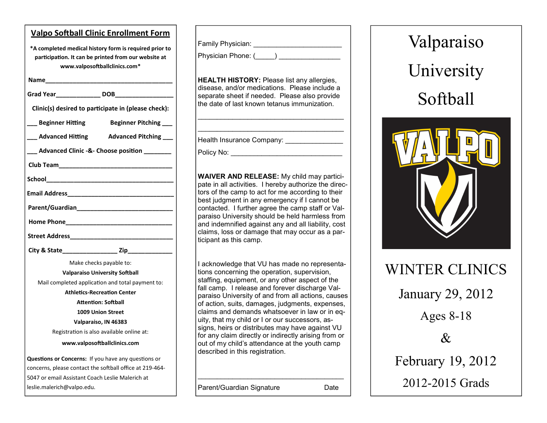| <b>Valpo Softball Clinic Enrollment Form</b>                                                                                                    |
|-------------------------------------------------------------------------------------------------------------------------------------------------|
| *A completed medical history form is required prior to<br>participation. It can be printed from our website at<br>www.valposoftballclinics.com* |
|                                                                                                                                                 |
|                                                                                                                                                 |
| Clinic(s) desired to participate in (please check):                                                                                             |
| __ Beginner Hitting<br><b>Beginner Pitching</b>                                                                                                 |
| __ Advanced Hitting Advanced Pitching __                                                                                                        |
| ___ Advanced Clinic -&- Choose position ________                                                                                                |
|                                                                                                                                                 |
|                                                                                                                                                 |
|                                                                                                                                                 |
|                                                                                                                                                 |
|                                                                                                                                                 |
|                                                                                                                                                 |
|                                                                                                                                                 |
|                                                                                                                                                 |
| Make checks payable to:                                                                                                                         |
| <b>Valparaiso University Softball</b>                                                                                                           |
| Mail completed application and total payment to:                                                                                                |
| <b>Athletics-Recreation Center</b>                                                                                                              |
| <b>Attention: Softball</b>                                                                                                                      |
| <b>1009 Union Street</b>                                                                                                                        |
| Valparaiso, IN 46383                                                                                                                            |
| Registration is also available online at:                                                                                                       |
| www.valposoftballclinics.com                                                                                                                    |
| Questions or Concerns: If you have any questions or                                                                                             |
| concerns, please contact the softball office at 219-464-                                                                                        |
| 5047 or email Assistant Coach Leslie Malerich at                                                                                                |
| leslie.malerich@valpo.edu.                                                                                                                      |

Family Physician: \_\_\_\_\_\_\_\_\_\_\_\_\_\_\_\_\_\_\_\_\_\_\_

Physician Phone: (\_\_\_\_\_) \_\_\_\_\_\_\_\_\_\_\_\_\_\_\_\_

**HEALTH HISTORY:** Please list any allergies, disease, and/or medications. Please include a separate sheet if needed. Please also provide the date of last known tetanus immunization.

\_\_\_\_\_\_\_\_\_\_\_\_\_\_\_\_\_\_\_\_\_\_\_\_\_\_\_\_\_\_\_\_\_\_\_\_\_\_  $\overline{\phantom{a}}$  , and the set of the set of the set of the set of the set of the set of the set of the set of the set of the set of the set of the set of the set of the set of the set of the set of the set of the set of the s

Health Insurance Company: \_\_\_\_\_\_\_\_\_\_\_\_\_\_\_\_

Policy No:

**WAIVER AND RELEASE:** My child may participate in all activities. I hereby authorize the directors of the camp to act for me according to their best judgment in any emergency if I cannot be contacted. I further agree the camp staff or Valparaiso University should be held harmless from and indemnified against any and all liability, cost claims, loss or damage that may occur as a participant as this camp.

I acknowledge that VU has made no representations concerning the operation, supervision, staffing, equipment, or any other aspect of the fall camp. I release and forever discharge Valparaiso University of and from all actions, causes of action, suits, damages, judgments, expenses, claims and demands whatsoever in law or in equity, that my child or I or our successors, assigns, heirs or distributes may have against VU for any claim directly or indirectly arising from or out of my child's attendance at the youth camp described in this registration.

\_\_\_\_\_\_\_\_\_\_\_\_\_\_\_\_\_\_\_\_\_\_\_\_\_\_\_\_\_\_\_\_\_\_\_\_\_\_

Parent/Guardian Signature **Date** 

Valparaiso University Softball



| <b>WINTER CLINICS</b>   |
|-------------------------|
| <b>January 29, 2012</b> |
| Ages $8-18$             |
| $\mathcal{R}$           |
| February 19, 2012       |
| 2012-2015 Grads         |